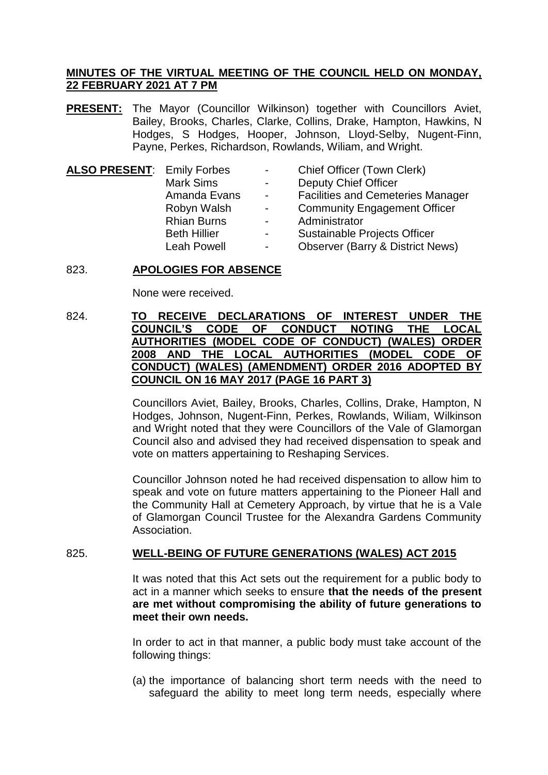## **MINUTES OF THE VIRTUAL MEETING OF THE COUNCIL HELD ON MONDAY, 22 FEBRUARY 2021 AT 7 PM**

**PRESENT:** The Mayor (Councillor Wilkinson) together with Councillors Aviet, Bailey, Brooks, Charles, Clarke, Collins, Drake, Hampton, Hawkins, N Hodges, S Hodges, Hooper, Johnson, Lloyd-Selby, Nugent-Finn, Payne, Perkes, Richardson, Rowlands, Wiliam, and Wright.

| <b>ALSO PRESENT: Emily Forbes</b> |                     | $\blacksquare$  | Chief Officer (Town Clerk)                  |
|-----------------------------------|---------------------|-----------------|---------------------------------------------|
|                                   | <b>Mark Sims</b>    |                 | <b>Deputy Chief Officer</b>                 |
|                                   | Amanda Evans        | $\sim$          | <b>Facilities and Cemeteries Manager</b>    |
|                                   | Robyn Walsh         | $\blacksquare$  | <b>Community Engagement Officer</b>         |
|                                   | <b>Rhian Burns</b>  | $\sim$ 10 $\pm$ | Administrator                               |
|                                   | <b>Beth Hillier</b> | -               | Sustainable Projects Officer                |
|                                   | <b>Leah Powell</b>  | $\sim$          | <b>Observer (Barry &amp; District News)</b> |
|                                   |                     |                 |                                             |

## 823. **APOLOGIES FOR ABSENCE**

None were received.

## 824. **TO RECEIVE DECLARATIONS OF INTEREST UNDER THE COUNCIL'S CODE OF CONDUCT NOTING THE LOCAL AUTHORITIES (MODEL CODE OF CONDUCT) (WALES) ORDER 2008 AND THE LOCAL AUTHORITIES (MODEL CODE OF CONDUCT) (WALES) (AMENDMENT) ORDER 2016 ADOPTED BY COUNCIL ON 16 MAY 2017 (PAGE 16 PART 3)**

Councillors Aviet, Bailey, Brooks, Charles, Collins, Drake, Hampton, N Hodges, Johnson, Nugent-Finn, Perkes, Rowlands, Wiliam, Wilkinson and Wright noted that they were Councillors of the Vale of Glamorgan Council also and advised they had received dispensation to speak and vote on matters appertaining to Reshaping Services.

Councillor Johnson noted he had received dispensation to allow him to speak and vote on future matters appertaining to the Pioneer Hall and the Community Hall at Cemetery Approach, by virtue that he is a Vale of Glamorgan Council Trustee for the Alexandra Gardens Community Association.

## 825. **WELL-BEING OF FUTURE GENERATIONS (WALES) ACT 2015**

It was noted that this Act sets out the requirement for a public body to act in a manner which seeks to ensure **that the needs of the present are met without compromising the ability of future generations to meet their own needs.**

In order to act in that manner, a public body must take account of the following things:

(a) the importance of balancing short term needs with the need to safeguard the ability to meet long term needs, especially where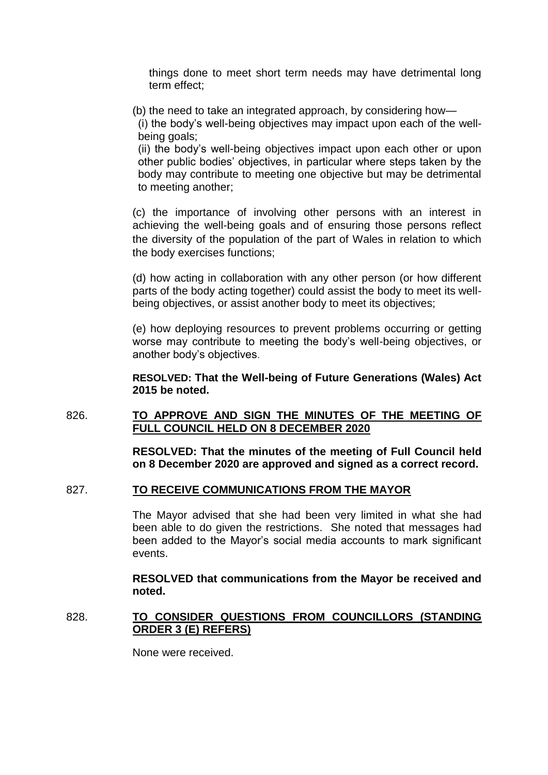things done to meet short term needs may have detrimental long term effect;

(b) the need to take an integrated approach, by considering how—

(i) the body's well-being objectives may impact upon each of the wellbeing goals;

(ii) the body's well-being objectives impact upon each other or upon other public bodies' objectives, in particular where steps taken by the body may contribute to meeting one objective but may be detrimental to meeting another;

(c) the importance of involving other persons with an interest in achieving the well-being goals and of ensuring those persons reflect the diversity of the population of the part of Wales in relation to which the body exercises functions;

(d) how acting in collaboration with any other person (or how different parts of the body acting together) could assist the body to meet its wellbeing objectives, or assist another body to meet its objectives;

(e) how deploying resources to prevent problems occurring or getting worse may contribute to meeting the body's well-being objectives, or another body's objectives.

**RESOLVED: That the Well-being of Future Generations (Wales) Act 2015 be noted.**

## 826. **TO APPROVE AND SIGN THE MINUTES OF THE MEETING OF FULL COUNCIL HELD ON 8 DECEMBER 2020**

**RESOLVED: That the minutes of the meeting of Full Council held on 8 December 2020 are approved and signed as a correct record.**

## 827. **TO RECEIVE COMMUNICATIONS FROM THE MAYOR**

The Mayor advised that she had been very limited in what she had been able to do given the restrictions. She noted that messages had been added to the Mayor's social media accounts to mark significant events.

**RESOLVED that communications from the Mayor be received and noted.**

## 828. **TO CONSIDER QUESTIONS FROM COUNCILLORS (STANDING ORDER 3 (E) REFERS)**

None were received.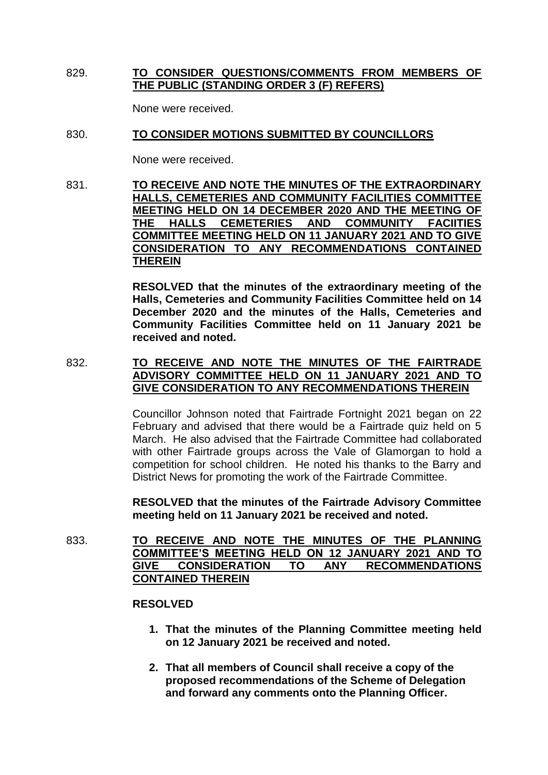## 829. **TO CONSIDER QUESTIONS/COMMENTS FROM MEMBERS OF THE PUBLIC (STANDING ORDER 3 (F) REFERS)**

None were received.

## 830. **TO CONSIDER MOTIONS SUBMITTED BY COUNCILLORS**

None were received.

## 831. **TO RECEIVE AND NOTE THE MINUTES OF THE EXTRAORDINARY HALLS, CEMETERIES AND COMMUNITY FACILITIES COMMITTEE MEETING HELD ON 14 DECEMBER 2020 AND THE MEETING OF THE HALLS CEMETERIES AND COMMUNITY FACIITIES COMMITTEE MEETING HELD ON 11 JANUARY 2021 AND TO GIVE CONSIDERATION TO ANY RECOMMENDATIONS CONTAINED THEREIN**

**RESOLVED that the minutes of the extraordinary meeting of the Halls, Cemeteries and Community Facilities Committee held on 14 December 2020 and the minutes of the Halls, Cemeteries and Community Facilities Committee held on 11 January 2021 be received and noted.**

# 832. **TO RECEIVE AND NOTE THE MINUTES OF THE FAIRTRADE ADVISORY COMMITTEE HELD ON 11 JANUARY 2021 AND TO GIVE CONSIDERATION TO ANY RECOMMENDATIONS THEREIN**

Councillor Johnson noted that Fairtrade Fortnight 2021 began on 22 February and advised that there would be a Fairtrade quiz held on 5 March. He also advised that the Fairtrade Committee had collaborated with other Fairtrade groups across the Vale of Glamorgan to hold a competition for school children. He noted his thanks to the Barry and District News for promoting the work of the Fairtrade Committee.

**RESOLVED that the minutes of the Fairtrade Advisory Committee meeting held on 11 January 2021 be received and noted.**

833. **TO RECEIVE AND NOTE THE MINUTES OF THE PLANNING COMMITTEE'S MEETING HELD ON 12 JANUARY 2021 AND TO GIVE CONSIDERATION TO ANY RECOMMENDATIONS CONTAINED THEREIN** 

### **RESOLVED**

- **1. That the minutes of the Planning Committee meeting held on 12 January 2021 be received and noted.**
- **2. That all members of Council shall receive a copy of the proposed recommendations of the Scheme of Delegation and forward any comments onto the Planning Officer.**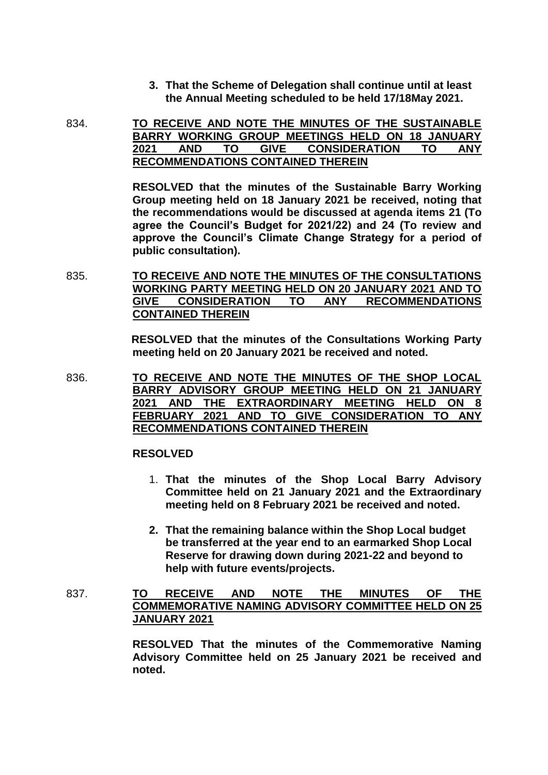- **3. That the Scheme of Delegation shall continue until at least the Annual Meeting scheduled to be held 17/18May 2021.**
- 834. **TO RECEIVE AND NOTE THE MINUTES OF THE SUSTAINABLE BARRY WORKING GROUP MEETINGS HELD ON 18 JANUARY 2021 AND TO GIVE CONSIDERATION TO ANY RECOMMENDATIONS CONTAINED THEREIN**

**RESOLVED that the minutes of the Sustainable Barry Working Group meeting held on 18 January 2021 be received, noting that the recommendations would be discussed at agenda items 21 (To agree the Council's Budget for 2021/22) and 24 (To review and approve the Council's Climate Change Strategy for a period of public consultation).**

835. **TO RECEIVE AND NOTE THE MINUTES OF THE CONSULTATIONS WORKING PARTY MEETING HELD ON 20 JANUARY 2021 AND TO GIVE CONSIDERATION TO ANY RECOMMENDATIONS CONTAINED THEREIN**

> **RESOLVED that the minutes of the Consultations Working Party meeting held on 20 January 2021 be received and noted.**

836. **TO RECEIVE AND NOTE THE MINUTES OF THE SHOP LOCAL BARRY ADVISORY GROUP MEETING HELD ON 21 JANUARY 2021 AND THE EXTRAORDINARY MEETING HELD ON 8 FEBRUARY 2021 AND TO GIVE CONSIDERATION TO ANY RECOMMENDATIONS CONTAINED THEREIN**

### **RESOLVED**

- 1. **That the minutes of the Shop Local Barry Advisory Committee held on 21 January 2021 and the Extraordinary meeting held on 8 February 2021 be received and noted.**
- **2. That the remaining balance within the Shop Local budget be transferred at the year end to an earmarked Shop Local Reserve for drawing down during 2021-22 and beyond to help with future events/projects.**
- 837. **TO RECEIVE AND NOTE THE MINUTES OF THE COMMEMORATIVE NAMING ADVISORY COMMITTEE HELD ON 25 JANUARY 2021**

**RESOLVED That the minutes of the Commemorative Naming Advisory Committee held on 25 January 2021 be received and noted.**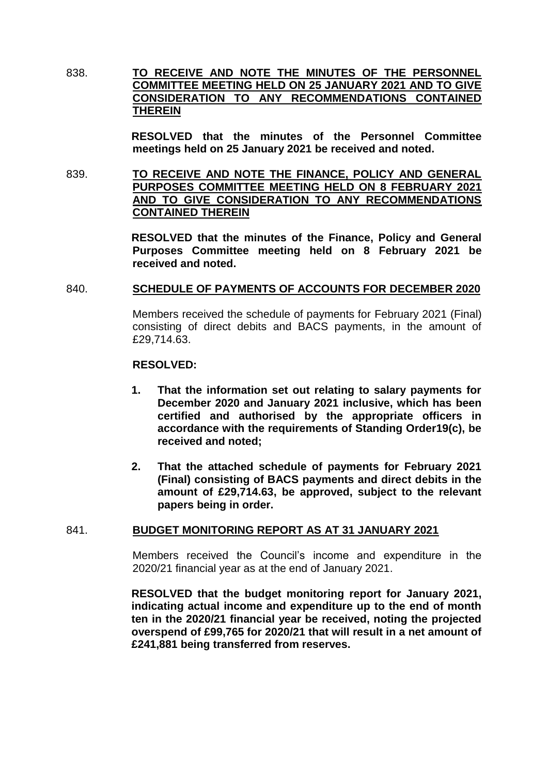838. **TO RECEIVE AND NOTE THE MINUTES OF THE PERSONNEL COMMITTEE MEETING HELD ON 25 JANUARY 2021 AND TO GIVE CONSIDERATION TO ANY RECOMMENDATIONS CONTAINED THEREIN**

> **RESOLVED that the minutes of the Personnel Committee meetings held on 25 January 2021 be received and noted.**

839. **TO RECEIVE AND NOTE THE FINANCE, POLICY AND GENERAL PURPOSES COMMITTEE MEETING HELD ON 8 FEBRUARY 2021 AND TO GIVE CONSIDERATION TO ANY RECOMMENDATIONS CONTAINED THEREIN**

> **RESOLVED that the minutes of the Finance, Policy and General Purposes Committee meeting held on 8 February 2021 be received and noted.**

## 840. **SCHEDULE OF PAYMENTS OF ACCOUNTS FOR DECEMBER 2020**

Members received the schedule of payments for February 2021 (Final) consisting of direct debits and BACS payments, in the amount of £29,714.63.

#### **RESOLVED:**

- **1. That the information set out relating to salary payments for December 2020 and January 2021 inclusive, which has been certified and authorised by the appropriate officers in accordance with the requirements of Standing Order19(c), be received and noted;**
- **2. That the attached schedule of payments for February 2021 (Final) consisting of BACS payments and direct debits in the amount of £29,714.63, be approved, subject to the relevant papers being in order.**

### 841. **BUDGET MONITORING REPORT AS AT 31 JANUARY 2021**

Members received the Council's income and expenditure in the 2020/21 financial year as at the end of January 2021.

**RESOLVED that the budget monitoring report for January 2021, indicating actual income and expenditure up to the end of month ten in the 2020/21 financial year be received, noting the projected overspend of £99,765 for 2020/21 that will result in a net amount of £241,881 being transferred from reserves.**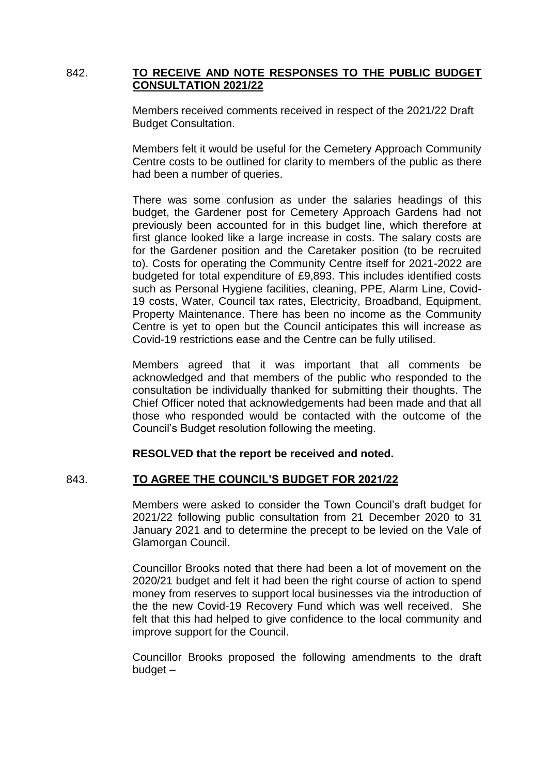## 842. **TO RECEIVE AND NOTE RESPONSES TO THE PUBLIC BUDGET CONSULTATION 2021/22**

Members received comments received in respect of the 2021/22 Draft Budget Consultation.

Members felt it would be useful for the Cemetery Approach Community Centre costs to be outlined for clarity to members of the public as there had been a number of queries.

There was some confusion as under the salaries headings of this budget, the Gardener post for Cemetery Approach Gardens had not previously been accounted for in this budget line, which therefore at first glance looked like a large increase in costs. The salary costs are for the Gardener position and the Caretaker position (to be recruited to). Costs for operating the Community Centre itself for 2021-2022 are budgeted for total expenditure of £9,893. This includes identified costs such as Personal Hygiene facilities, cleaning, PPE, Alarm Line, Covid-19 costs, Water, Council tax rates, Electricity, Broadband, Equipment, Property Maintenance. There has been no income as the Community Centre is yet to open but the Council anticipates this will increase as Covid-19 restrictions ease and the Centre can be fully utilised.

Members agreed that it was important that all comments be acknowledged and that members of the public who responded to the consultation be individually thanked for submitting their thoughts. The Chief Officer noted that acknowledgements had been made and that all those who responded would be contacted with the outcome of the Council's Budget resolution following the meeting.

## **RESOLVED that the report be received and noted.**

## 843. **TO AGREE THE COUNCIL'S BUDGET FOR 2021/22**

Members were asked to consider the Town Council's draft budget for 2021/22 following public consultation from 21 December 2020 to 31 January 2021 and to determine the precept to be levied on the Vale of Glamorgan Council.

Councillor Brooks noted that there had been a lot of movement on the 2020/21 budget and felt it had been the right course of action to spend money from reserves to support local businesses via the introduction of the the new Covid-19 Recovery Fund which was well received. She felt that this had helped to give confidence to the local community and improve support for the Council.

Councillor Brooks proposed the following amendments to the draft budget –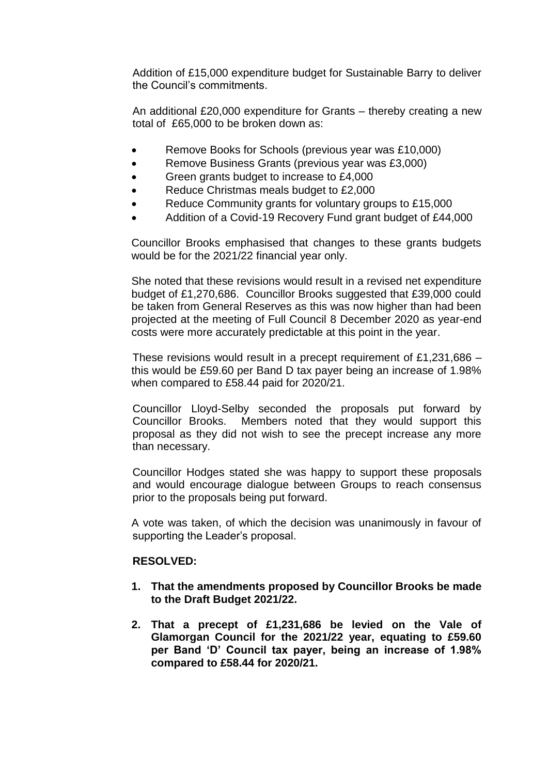Addition of £15,000 expenditure budget for Sustainable Barry to deliver the Council's commitments.

An additional £20,000 expenditure for Grants – thereby creating a new total of £65,000 to be broken down as:

- Remove Books for Schools (previous year was £10,000)
- Remove Business Grants (previous year was £3,000)
- Green grants budget to increase to £4,000
- Reduce Christmas meals budget to £2,000
- Reduce Community grants for voluntary groups to £15,000
- Addition of a Covid-19 Recovery Fund grant budget of £44,000

Councillor Brooks emphasised that changes to these grants budgets would be for the 2021/22 financial year only.

She noted that these revisions would result in a revised net expenditure budget of £1,270,686. Councillor Brooks suggested that £39,000 could be taken from General Reserves as this was now higher than had been projected at the meeting of Full Council 8 December 2020 as year-end costs were more accurately predictable at this point in the year.

These revisions would result in a precept requirement of £1,231,686 – this would be £59.60 per Band D tax payer being an increase of 1.98% when compared to £58.44 paid for 2020/21.

Councillor Lloyd-Selby seconded the proposals put forward by Councillor Brooks. Members noted that they would support this proposal as they did not wish to see the precept increase any more than necessary.

Councillor Hodges stated she was happy to support these proposals and would encourage dialogue between Groups to reach consensus prior to the proposals being put forward.

A vote was taken, of which the decision was unanimously in favour of supporting the Leader's proposal.

### **RESOLVED:**

- **1. That the amendments proposed by Councillor Brooks be made to the Draft Budget 2021/22.**
- **2. That a precept of £1,231,686 be levied on the Vale of Glamorgan Council for the 2021/22 year, equating to £59.60 per Band 'D' Council tax payer, being an increase of 1.98% compared to £58.44 for 2020/21.**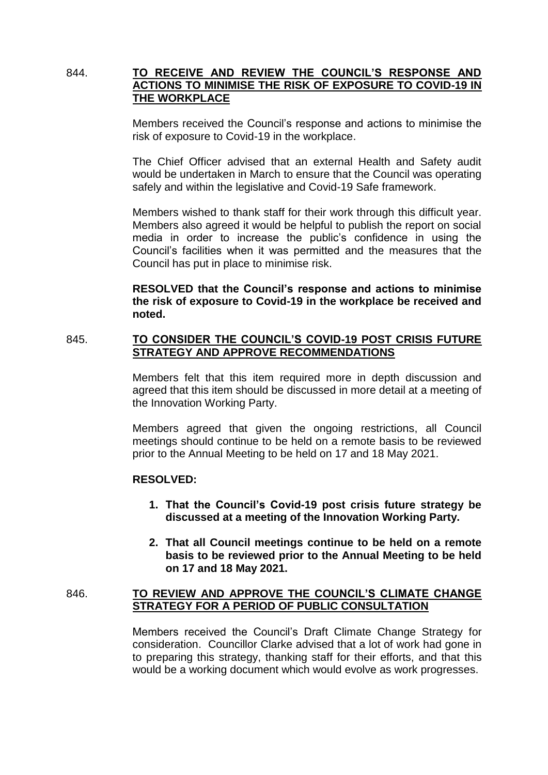## 844. **TO RECEIVE AND REVIEW THE COUNCIL'S RESPONSE AND ACTIONS TO MINIMISE THE RISK OF EXPOSURE TO COVID-19 IN THE WORKPLACE**

Members received the Council's response and actions to minimise the risk of exposure to Covid-19 in the workplace.

The Chief Officer advised that an external Health and Safety audit would be undertaken in March to ensure that the Council was operating safely and within the legislative and Covid-19 Safe framework.

Members wished to thank staff for their work through this difficult year. Members also agreed it would be helpful to publish the report on social media in order to increase the public's confidence in using the Council's facilities when it was permitted and the measures that the Council has put in place to minimise risk.

**RESOLVED that the Council's response and actions to minimise the risk of exposure to Covid-19 in the workplace be received and noted.**

## 845. **TO CONSIDER THE COUNCIL'S COVID-19 POST CRISIS FUTURE STRATEGY AND APPROVE RECOMMENDATIONS**

Members felt that this item required more in depth discussion and agreed that this item should be discussed in more detail at a meeting of the Innovation Working Party.

Members agreed that given the ongoing restrictions, all Council meetings should continue to be held on a remote basis to be reviewed prior to the Annual Meeting to be held on 17 and 18 May 2021.

### **RESOLVED:**

- **1. That the Council's Covid-19 post crisis future strategy be discussed at a meeting of the Innovation Working Party.**
- **2. That all Council meetings continue to be held on a remote basis to be reviewed prior to the Annual Meeting to be held on 17 and 18 May 2021.**

## 846. **TO REVIEW AND APPROVE THE COUNCIL'S CLIMATE CHANGE STRATEGY FOR A PERIOD OF PUBLIC CONSULTATION**

Members received the Council's Draft Climate Change Strategy for consideration. Councillor Clarke advised that a lot of work had gone in to preparing this strategy, thanking staff for their efforts, and that this would be a working document which would evolve as work progresses.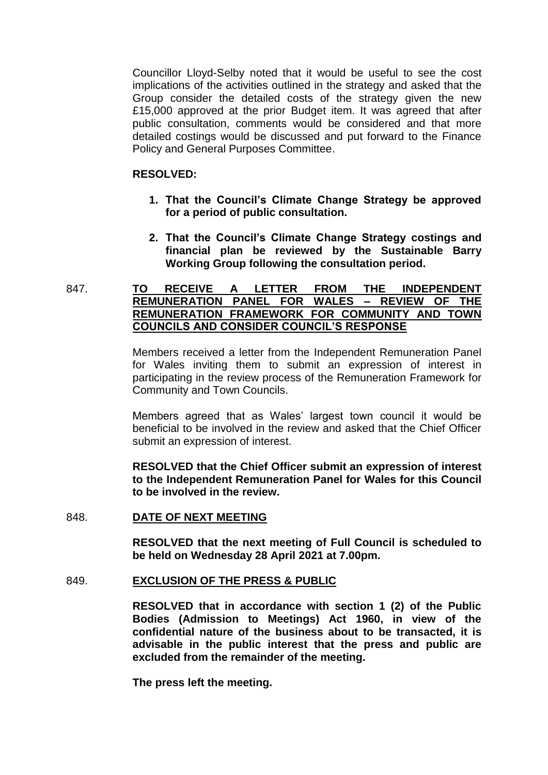Councillor Lloyd-Selby noted that it would be useful to see the cost implications of the activities outlined in the strategy and asked that the Group consider the detailed costs of the strategy given the new £15,000 approved at the prior Budget item. It was agreed that after public consultation, comments would be considered and that more detailed costings would be discussed and put forward to the Finance Policy and General Purposes Committee.

### **RESOLVED:**

- **1. That the Council's Climate Change Strategy be approved for a period of public consultation.**
- **2. That the Council's Climate Change Strategy costings and financial plan be reviewed by the Sustainable Barry Working Group following the consultation period.**

## 847. **TO RECEIVE A LETTER FROM THE INDEPENDENT REMUNERATION PANEL FOR WALES – REVIEW OF THE REMUNERATION FRAMEWORK FOR COMMUNITY AND TOWN COUNCILS AND CONSIDER COUNCIL'S RESPONSE**

Members received a letter from the Independent Remuneration Panel for Wales inviting them to submit an expression of interest in participating in the review process of the Remuneration Framework for Community and Town Councils.

Members agreed that as Wales' largest town council it would be beneficial to be involved in the review and asked that the Chief Officer submit an expression of interest.

**RESOLVED that the Chief Officer submit an expression of interest to the Independent Remuneration Panel for Wales for this Council to be involved in the review.**

### 848. **DATE OF NEXT MEETING**

**RESOLVED that the next meeting of Full Council is scheduled to be held on Wednesday 28 April 2021 at 7.00pm.**

### 849. **EXCLUSION OF THE PRESS & PUBLIC**

**RESOLVED that in accordance with section 1 (2) of the Public Bodies (Admission to Meetings) Act 1960, in view of the confidential nature of the business about to be transacted, it is advisable in the public interest that the press and public are excluded from the remainder of the meeting.**

**The press left the meeting.**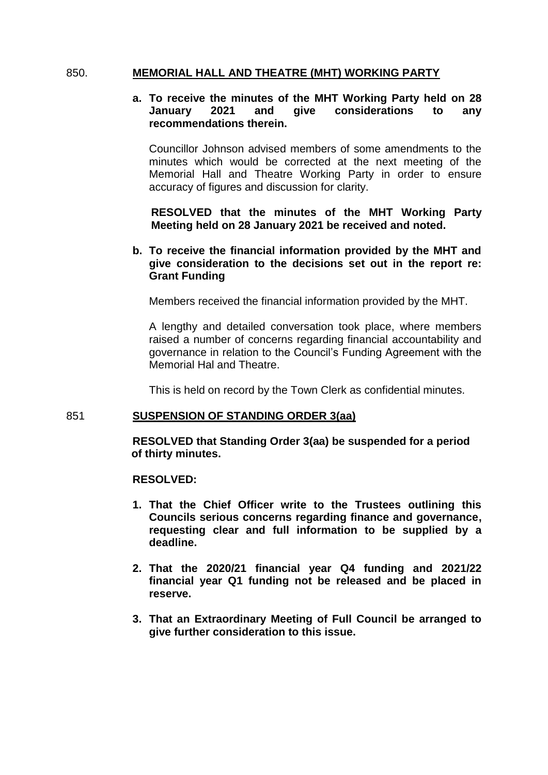## 850. **MEMORIAL HALL AND THEATRE (MHT) WORKING PARTY**

## **a. To receive the minutes of the MHT Working Party held on 28 January 2021 and give considerations to any recommendations therein.**

Councillor Johnson advised members of some amendments to the minutes which would be corrected at the next meeting of the Memorial Hall and Theatre Working Party in order to ensure accuracy of figures and discussion for clarity.

**RESOLVED that the minutes of the MHT Working Party Meeting held on 28 January 2021 be received and noted.**

## **b. To receive the financial information provided by the MHT and give consideration to the decisions set out in the report re: Grant Funding**

Members received the financial information provided by the MHT.

A lengthy and detailed conversation took place, where members raised a number of concerns regarding financial accountability and governance in relation to the Council's Funding Agreement with the Memorial Hal and Theatre.

This is held on record by the Town Clerk as confidential minutes.

### 851 **SUSPENSION OF STANDING ORDER 3(aa)**

**RESOLVED that Standing Order 3(aa) be suspended for a period of thirty minutes.**

### **RESOLVED:**

- **1. That the Chief Officer write to the Trustees outlining this Councils serious concerns regarding finance and governance, requesting clear and full information to be supplied by a deadline.**
- **2. That the 2020/21 financial year Q4 funding and 2021/22 financial year Q1 funding not be released and be placed in reserve.**
- **3. That an Extraordinary Meeting of Full Council be arranged to give further consideration to this issue.**